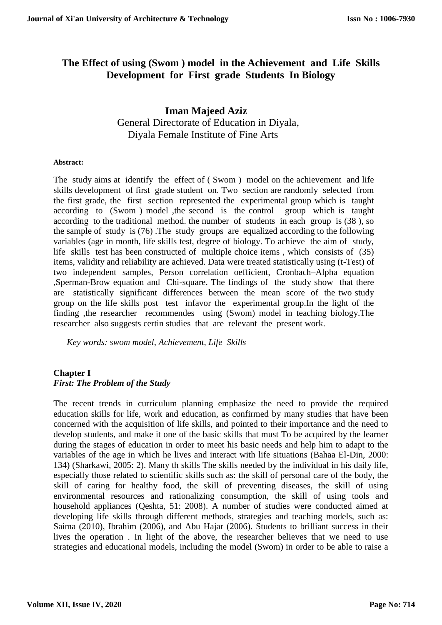# **The Effect of using (Swom ) model in the Achievement and Life Skills Development for First grade Students In Biology**

# **Iman Majeed Aziz** General Directorate of Education in Diyala, Diyala Female Institute of Fine Arts

#### **Abstract:**

The study aims at identify the effect of ( Swom ) model on the achievement and life skills development of first grade student on. Two section are randomly selected from the first grade, the first section represented the experimental group which is taught according to (Swom ) model ,the second is the control group which is taught according to the traditional method. the number of students in each group is (38 ), so the sample of study is (76) .The study groups are equalized according to the following variables (age in month, life skills test, degree of biology. To achieve the aim of study, life skills test has been constructed of multiple choice items , which consists of (35) items, validity and reliability are achieved. Data were treated statistically using (t-Test) of two independent samples, Person correlation oefficient, Cronbach–Alpha equation ,Sperman-Brow equation and Chi-square. The findings of the study show that there are statistically significant differences between the mean score of the two study group on the life skills post test infavor the experimental group.In the light of the finding ,the researcher recommendes using (Swom) model in teaching biology.The researcher also suggests certin studies that are relevant the present work.

*Key words: swom model, Achievement, Life Skills* 

#### **Chapter I** *First: The Problem of the Study*

The recent trends in curriculum planning emphasize the need to provide the required education skills for life, work and education, as confirmed by many studies that have been concerned with the acquisition of life skills, and pointed to their importance and the need to develop students, and make it one of the basic skills that must To be acquired by the learner during the stages of education in order to meet his basic needs and help him to adapt to the variables of the age in which he lives and interact with life situations (Bahaa El-Din, 2000: 134) (Sharkawi, 2005: 2). Many th skills The skills needed by the individual in his daily life, especially those related to scientific skills such as: the skill of personal care of the body, the skill of caring for healthy food, the skill of preventing diseases, the skill of using environmental resources and rationalizing consumption, the skill of using tools and household appliances (Qeshta, 51: 2008). A number of studies were conducted aimed at developing life skills through different methods, strategies and teaching models, such as: Saima (2010), Ibrahim (2006), and Abu Hajar (2006). Students to brilliant success in their lives the operation . In light of the above, the researcher believes that we need to use strategies and educational models, including the model (Swom) in order to be able to raise a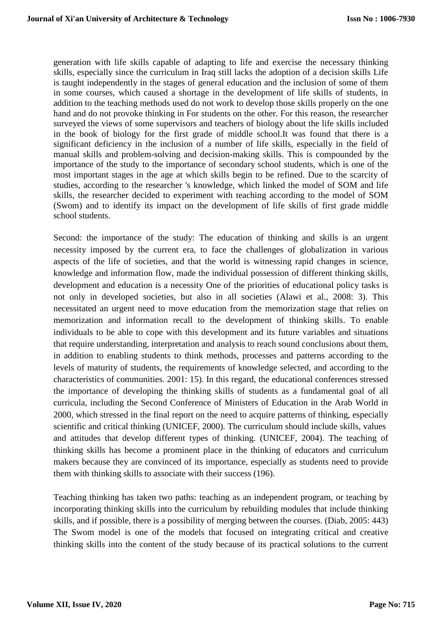generation with life skills capable of adapting to life and exercise the necessary thinking skills, especially since the curriculum in Iraq still lacks the adoption of a decision skills Life is taught independently in the stages of general education and the inclusion of some of them in some courses, which caused a shortage in the development of life skills of students, in addition to the teaching methods used do not work to develop those skills properly on the one hand and do not provoke thinking in For students on the other. For this reason, the researcher surveyed the views of some supervisors and teachers of biology about the life skills included in the book of biology for the first grade of middle school.It was found that there is a significant deficiency in the inclusion of a number of life skills, especially in the field of manual skills and problem-solving and decision-making skills. This is compounded by the importance of the study to the importance of secondary school students, which is one of the most important stages in the age at which skills begin to be refined. Due to the scarcity of studies, according to the researcher 's knowledge, which linked the model of SOM and life skills, the researcher decided to experiment with teaching according to the model of SOM (Swom) and to identify its impact on the development of life skills of first grade middle school students.

Second: the importance of the study: The education of thinking and skills is an urgent necessity imposed by the current era, to face the challenges of globalization in various aspects of the life of societies, and that the world is witnessing rapid changes in science, knowledge and information flow, made the individual possession of different thinking skills, development and education is a necessity One of the priorities of educational policy tasks is not only in developed societies, but also in all societies (Alawi et al., 2008: 3). This necessitated an urgent need to move education from the memorization stage that relies on memorization and information recall to the development of thinking skills. To enable individuals to be able to cope with this development and its future variables and situations that require understanding, interpretation and analysis to reach sound conclusions about them, in addition to enabling students to think methods, processes and patterns according to the levels of maturity of students, the requirements of knowledge selected, and according to the characteristics of communities. 2001: 15). In this regard, the educational conferences stressed the importance of developing the thinking skills of students as a fundamental goal of all curricula, including the Second Conference of Ministers of Education in the Arab World in 2000, which stressed in the final report on the need to acquire patterns of thinking, especially scientific and critical thinking (UNICEF, 2000). The curriculum should include skills, values and attitudes that develop different types of thinking. (UNICEF, 2004). The teaching of thinking skills has become a prominent place in the thinking of educators and curriculum makers because they are convinced of its importance, especially as students need to provide them with thinking skills to associate with their success (196).

Teaching thinking has taken two paths: teaching as an independent program, or teaching by incorporating thinking skills into the curriculum by rebuilding modules that include thinking skills, and if possible, there is a possibility of merging between the courses. (Diab, 2005: 443) The Swom model is one of the models that focused on integrating critical and creative thinking skills into the content of the study because of its practical solutions to the current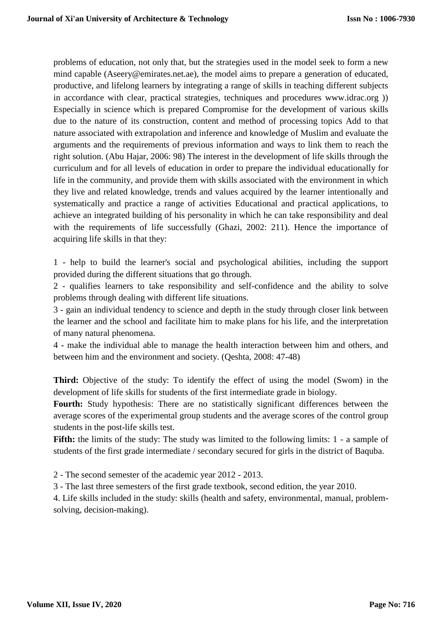problems of education, not only that, but the strategies used in the model seek to form a new mind capable (Aseery@emirates.net.ae), the model aims to prepare a generation of educated, productive, and lifelong learners by integrating a range of skills in teaching different subjects in accordance with clear, practical strategies, techniques and procedures www.idrac.org )) Especially in science which is prepared Compromise for the development of various skills due to the nature of its construction, content and method of processing topics Add to that nature associated with extrapolation and inference and knowledge of Muslim and evaluate the arguments and the requirements of previous information and ways to link them to reach the right solution. (Abu Hajar, 2006: 98) The interest in the development of life skills through the curriculum and for all levels of education in order to prepare the individual educationally for life in the community, and provide them with skills associated with the environment in which they live and related knowledge, trends and values acquired by the learner intentionally and systematically and practice a range of activities Educational and practical applications, to achieve an integrated building of his personality in which he can take responsibility and deal with the requirements of life successfully (Ghazi, 2002: 211). Hence the importance of acquiring life skills in that they:

1 - help to build the learner's social and psychological abilities, including the support provided during the different situations that go through.

2 - qualifies learners to take responsibility and self-confidence and the ability to solve problems through dealing with different life situations.

3 - gain an individual tendency to science and depth in the study through closer link between the learner and the school and facilitate him to make plans for his life, and the interpretation of many natural phenomena.

4 - make the individual able to manage the health interaction between him and others, and between him and the environment and society. (Qeshta, 2008: 47-48)

**Third:** Objective of the study: To identify the effect of using the model (Swom) in the development of life skills for students of the first intermediate grade in biology.

**Fourth:** Study hypothesis: There are no statistically significant differences between the average scores of the experimental group students and the average scores of the control group students in the post-life skills test.

Fifth: the limits of the study: The study was limited to the following limits: 1 - a sample of students of the first grade intermediate / secondary secured for girls in the district of Baquba.

2 - The second semester of the academic year 2012 - 2013.

3 - The last three semesters of the first grade textbook, second edition, the year 2010.

4. Life skills included in the study: skills (health and safety, environmental, manual, problemsolving, decision-making).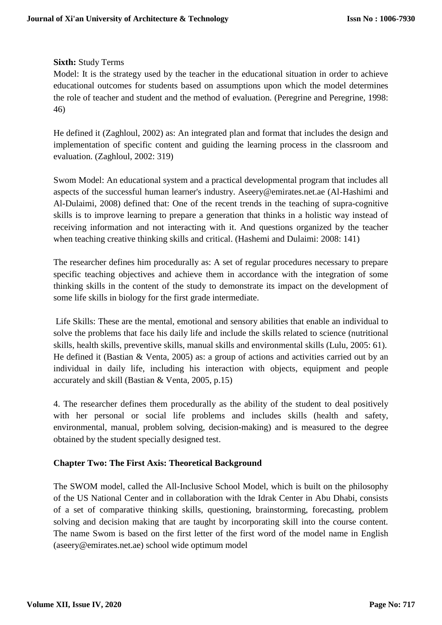#### **Sixth:** Study Terms

Model: It is the strategy used by the teacher in the educational situation in order to achieve educational outcomes for students based on assumptions upon which the model determines the role of teacher and student and the method of evaluation. (Peregrine and Peregrine, 1998: 46)

He defined it (Zaghloul, 2002) as: An integrated plan and format that includes the design and implementation of specific content and guiding the learning process in the classroom and evaluation. (Zaghloul, 2002: 319)

Swom Model: An educational system and a practical developmental program that includes all aspects of the successful human learner's industry. Aseery@emirates.net.ae (Al-Hashimi and Al-Dulaimi, 2008) defined that: One of the recent trends in the teaching of supra-cognitive skills is to improve learning to prepare a generation that thinks in a holistic way instead of receiving information and not interacting with it. And questions organized by the teacher when teaching creative thinking skills and critical. (Hashemi and Dulaimi: 2008: 141)

The researcher defines him procedurally as: A set of regular procedures necessary to prepare specific teaching objectives and achieve them in accordance with the integration of some thinking skills in the content of the study to demonstrate its impact on the development of some life skills in biology for the first grade intermediate.

Life Skills: These are the mental, emotional and sensory abilities that enable an individual to solve the problems that face his daily life and include the skills related to science (nutritional skills, health skills, preventive skills, manual skills and environmental skills (Lulu, 2005: 61). He defined it (Bastian & Venta, 2005) as: a group of actions and activities carried out by an individual in daily life, including his interaction with objects, equipment and people accurately and skill (Bastian & Venta, 2005, p.15)

4. The researcher defines them procedurally as the ability of the student to deal positively with her personal or social life problems and includes skills (health and safety, environmental, manual, problem solving, decision-making) and is measured to the degree obtained by the student specially designed test.

### **Chapter Two: The First Axis: Theoretical Background**

The SWOM model, called the All-Inclusive School Model, which is built on the philosophy of the US National Center and in collaboration with the Idrak Center in Abu Dhabi, consists of a set of comparative thinking skills, questioning, brainstorming, forecasting, problem solving and decision making that are taught by incorporating skill into the course content. The name Swom is based on the first letter of the first word of the model name in English (aseery@emirates.net.ae) school wide optimum model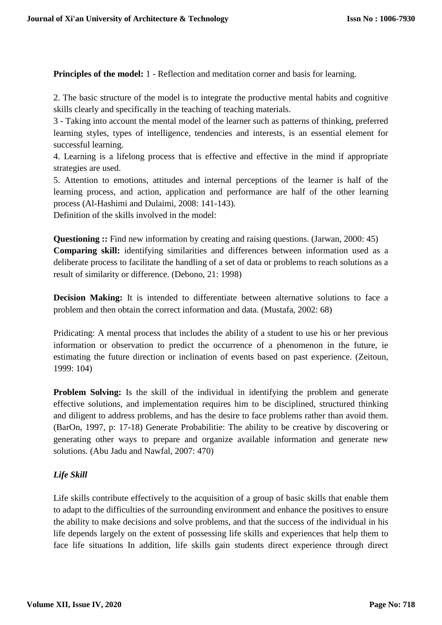**Principles of the model:** 1 - Reflection and meditation corner and basis for learning.

2. The basic structure of the model is to integrate the productive mental habits and cognitive skills clearly and specifically in the teaching of teaching materials.

3 - Taking into account the mental model of the learner such as patterns of thinking, preferred learning styles, types of intelligence, tendencies and interests, is an essential element for successful learning.

4. Learning is a lifelong process that is effective and effective in the mind if appropriate strategies are used.

5. Attention to emotions, attitudes and internal perceptions of the learner is half of the learning process, and action, application and performance are half of the other learning process (Al-Hashimi and Dulaimi, 2008: 141-143).

Definition of the skills involved in the model:

**Questioning ::** Find new information by creating and raising questions. (Jarwan, 2000: 45) **Comparing skill:** identifying similarities and differences between information used as a deliberate process to facilitate the handling of a set of data or problems to reach solutions as a result of similarity or difference. (Debono, 21: 1998)

**Decision Making:** It is intended to differentiate between alternative solutions to face a problem and then obtain the correct information and data. (Mustafa, 2002: 68)

Pridicating: A mental process that includes the ability of a student to use his or her previous information or observation to predict the occurrence of a phenomenon in the future, ie estimating the future direction or inclination of events based on past experience. (Zeitoun, 1999: 104)

**Problem Solving:** Is the skill of the individual in identifying the problem and generate effective solutions, and implementation requires him to be disciplined, structured thinking and diligent to address problems, and has the desire to face problems rather than avoid them. (BarOn, 1997, p: 17-18) Generate Probabilitie: The ability to be creative by discovering or generating other ways to prepare and organize available information and generate new solutions. (Abu Jadu and Nawfal, 2007: 470)

# *Life Skill*

Life skills contribute effectively to the acquisition of a group of basic skills that enable them to adapt to the difficulties of the surrounding environment and enhance the positives to ensure the ability to make decisions and solve problems, and that the success of the individual in his life depends largely on the extent of possessing life skills and experiences that help them to face life situations In addition, life skills gain students direct experience through direct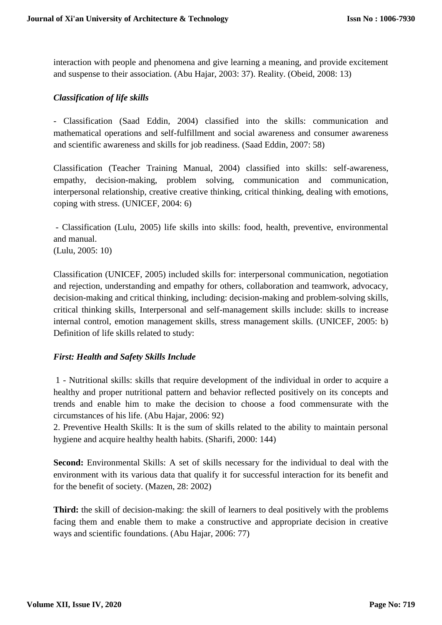interaction with people and phenomena and give learning a meaning, and provide excitement and suspense to their association. (Abu Hajar, 2003: 37). Reality. (Obeid, 2008: 13)

#### *Classification of life skills*

- Classification (Saad Eddin, 2004) classified into the skills: communication and mathematical operations and self-fulfillment and social awareness and consumer awareness and scientific awareness and skills for job readiness. (Saad Eddin, 2007: 58)

Classification (Teacher Training Manual, 2004) classified into skills: self-awareness, empathy, decision-making, problem solving, communication and communication, interpersonal relationship, creative creative thinking, critical thinking, dealing with emotions, coping with stress. (UNICEF, 2004: 6)

- Classification (Lulu, 2005) life skills into skills: food, health, preventive, environmental and manual.

(Lulu, 2005: 10)

Classification (UNICEF, 2005) included skills for: interpersonal communication, negotiation and rejection, understanding and empathy for others, collaboration and teamwork, advocacy, decision-making and critical thinking, including: decision-making and problem-solving skills, critical thinking skills, Interpersonal and self-management skills include: skills to increase internal control, emotion management skills, stress management skills. (UNICEF, 2005: b) Definition of life skills related to study:

### *First: Health and Safety Skills Include*

1 - Nutritional skills: skills that require development of the individual in order to acquire a healthy and proper nutritional pattern and behavior reflected positively on its concepts and trends and enable him to make the decision to choose a food commensurate with the circumstances of his life. (Abu Hajar, 2006: 92)

2. Preventive Health Skills: It is the sum of skills related to the ability to maintain personal hygiene and acquire healthy health habits. (Sharifi, 2000: 144)

**Second:** Environmental Skills: A set of skills necessary for the individual to deal with the environment with its various data that qualify it for successful interaction for its benefit and for the benefit of society. (Mazen, 28: 2002)

**Third:** the skill of decision-making: the skill of learners to deal positively with the problems facing them and enable them to make a constructive and appropriate decision in creative ways and scientific foundations. (Abu Hajar, 2006: 77)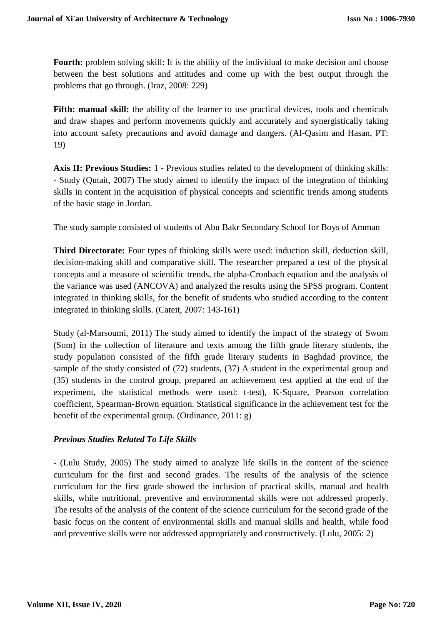**Fourth:** problem solving skill: It is the ability of the individual to make decision and choose between the best solutions and attitudes and come up with the best output through the problems that go through. (Iraz, 2008: 229)

**Fifth: manual skill:** the ability of the learner to use practical devices, tools and chemicals and draw shapes and perform movements quickly and accurately and synergistically taking into account safety precautions and avoid damage and dangers. (Al-Qasim and Hasan, PT: 19)

**Axis II: Previous Studies:** 1 - Previous studies related to the development of thinking skills: - Study (Qutait, 2007) The study aimed to identify the impact of the integration of thinking skills in content in the acquisition of physical concepts and scientific trends among students of the basic stage in Jordan.

The study sample consisted of students of Abu Bakr Secondary School for Boys of Amman

**Third Directorate:** Four types of thinking skills were used: induction skill, deduction skill, decision-making skill and comparative skill. The researcher prepared a test of the physical concepts and a measure of scientific trends, the alpha-Cronbach equation and the analysis of the variance was used (ANCOVA) and analyzed the results using the SPSS program. Content integrated in thinking skills, for the benefit of students who studied according to the content integrated in thinking skills. (Cateit, 2007: 143-161)

Study (al-Marsoumi, 2011) The study aimed to identify the impact of the strategy of Swom (Som) in the collection of literature and texts among the fifth grade literary students, the study population consisted of the fifth grade literary students in Baghdad province, the sample of the study consisted of (72) students, (37) A student in the experimental group and (35) students in the control group, prepared an achievement test applied at the end of the experiment, the statistical methods were used: t-test), K-Square, Pearson correlation coefficient, Spearman-Brown equation. Statistical significance in the achievement test for the benefit of the experimental group. (Ordinance, 2011: g)

### *Previous Studies Related To Life Skills*

- (Lulu Study, 2005) The study aimed to analyze life skills in the content of the science curriculum for the first and second grades. The results of the analysis of the science curriculum for the first grade showed the inclusion of practical skills, manual and health skills, while nutritional, preventive and environmental skills were not addressed properly. The results of the analysis of the content of the science curriculum for the second grade of the basic focus on the content of environmental skills and manual skills and health, while food and preventive skills were not addressed appropriately and constructively. (Lulu, 2005: 2)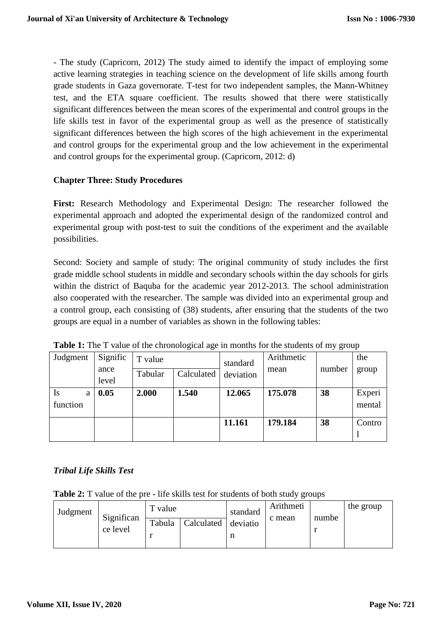- The study (Capricorn, 2012) The study aimed to identify the impact of employing some active learning strategies in teaching science on the development of life skills among fourth grade students in Gaza governorate. T-test for two independent samples, the Mann-Whitney test, and the ETA square coefficient. The results showed that there were statistically significant differences between the mean scores of the experimental and control groups in the life skills test in favor of the experimental group as well as the presence of statistically significant differences between the high scores of the high achievement in the experimental and control groups for the experimental group and the low achievement in the experimental and control groups for the experimental group. (Capricorn, 2012: d)

#### **Chapter Three: Study Procedures**

**First:** Research Methodology and Experimental Design: The researcher followed the experimental approach and adopted the experimental design of the randomized control and experimental group with post-test to suit the conditions of the experiment and the available possibilities.

Second: Society and sample of study: The original community of study includes the first grade middle school students in middle and secondary schools within the day schools for girls within the district of Baquba for the academic year 2012-2013. The school administration also cooperated with the researcher. The sample was divided into an experimental group and a control group, each consisting of (38) students, after ensuring that the students of the two groups are equal in a number of variables as shown in the following tables:

| Judgment                   | Signific<br>ance<br>level | T value | standard   |           | Arithmetic |        | the              |
|----------------------------|---------------------------|---------|------------|-----------|------------|--------|------------------|
|                            |                           | Tabular | Calculated | deviation | mean       | number | group            |
| <b>Is</b><br>a<br>function | 0.05                      | 2.000   | 1.540      | 12.065    | 175.078    | 38     | Experi<br>mental |
|                            |                           |         |            | 11.161    | 179.184    | 38     | Contro           |

**Table 1:** The T value of the chronological age in months for the students of my group

#### *Tribal Life Skills Test*

**Table 2:** T value of the pre - life skills test for students of both study groups

| Judgment | Significan<br>ce level | T value |            | standard      | Arithmeti<br>c mean | numbe | the group |
|----------|------------------------|---------|------------|---------------|---------------------|-------|-----------|
|          |                        | Tabula  | Calculated | deviatio<br>п |                     |       |           |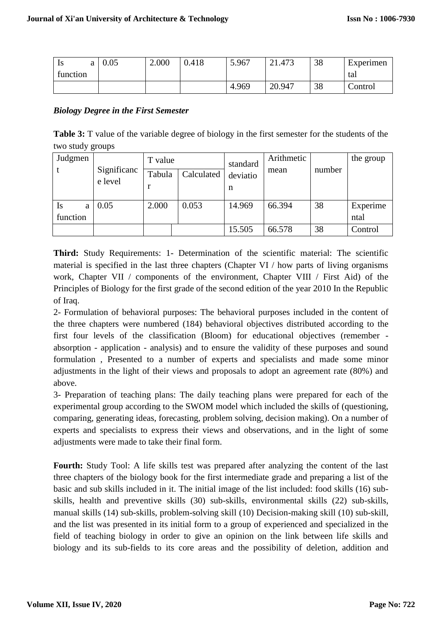| 1S       | 0.05 | 2.000 | 0.418 | 5.967 | 21.473 | 38 | Experimen |
|----------|------|-------|-------|-------|--------|----|-----------|
| function |      |       |       |       |        |    | tal       |
|          |      |       |       | 4.969 | 20.947 | 38 | Control   |

#### *Biology Degree in the First Semester*

**Table 3:** T value of the variable degree of biology in the first semester for the students of the two study groups

| Judgmen  | Significanc<br>e level | T value |            | standard | Arithmetic |        | the group |
|----------|------------------------|---------|------------|----------|------------|--------|-----------|
|          |                        | Tabula  | Calculated | deviatio | mean       | number |           |
|          |                        |         |            | n        |            |        |           |
| Is<br>a  | 0.05                   | 2.000   | 0.053      | 14.969   | 66.394     | 38     | Experime  |
| function |                        |         |            |          |            |        | ntal      |
|          |                        |         |            | 15.505   | 66.578     | 38     | Control   |

**Third:** Study Requirements: 1- Determination of the scientific material: The scientific material is specified in the last three chapters (Chapter VI / how parts of living organisms work, Chapter VII / components of the environment, Chapter VIII / First Aid) of the Principles of Biology for the first grade of the second edition of the year 2010 In the Republic of Iraq.

2- Formulation of behavioral purposes: The behavioral purposes included in the content of the three chapters were numbered (184) behavioral objectives distributed according to the first four levels of the classification (Bloom) for educational objectives (remember absorption - application - analysis) and to ensure the validity of these purposes and sound formulation , Presented to a number of experts and specialists and made some minor adjustments in the light of their views and proposals to adopt an agreement rate (80%) and above.

3- Preparation of teaching plans: The daily teaching plans were prepared for each of the experimental group according to the SWOM model which included the skills of (questioning, comparing, generating ideas, forecasting, problem solving, decision making). On a number of experts and specialists to express their views and observations, and in the light of some adjustments were made to take their final form.

**Fourth:** Study Tool: A life skills test was prepared after analyzing the content of the last three chapters of the biology book for the first intermediate grade and preparing a list of the basic and sub skills included in it. The initial image of the list included: food skills (16) subskills, health and preventive skills (30) sub-skills, environmental skills (22) sub-skills, manual skills (14) sub-skills, problem-solving skill (10) Decision-making skill (10) sub-skill, and the list was presented in its initial form to a group of experienced and specialized in the field of teaching biology in order to give an opinion on the link between life skills and biology and its sub-fields to its core areas and the possibility of deletion, addition and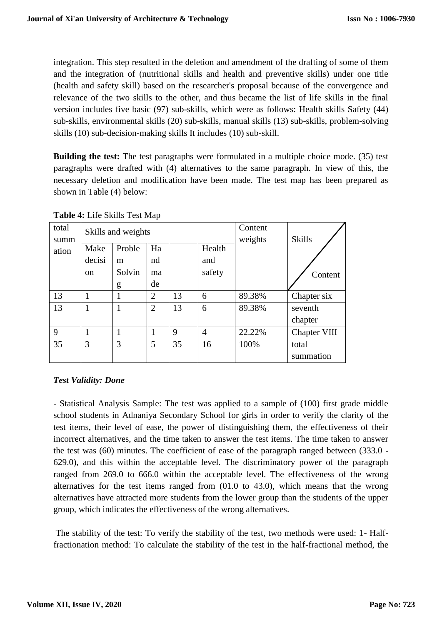integration. This step resulted in the deletion and amendment of the drafting of some of them and the integration of (nutritional skills and health and preventive skills) under one title (health and safety skill) based on the researcher's proposal because of the convergence and relevance of the two skills to the other, and thus became the list of life skills in the final version includes five basic (97) sub-skills, which were as follows: Health skills Safety (44) sub-skills, environmental skills (20) sub-skills, manual skills (13) sub-skills, problem-solving skills (10) sub-decision-making skills It includes (10) sub-skill.

**Building the test:** The test paragraphs were formulated in a multiple choice mode. (35) test paragraphs were drafted with (4) alternatives to the same paragraph. In view of this, the necessary deletion and modification have been made. The test map has been prepared as shown in Table (4) below:

| total<br>summ |               | Skills and weights |                | Content<br>weights | <b>Skills</b>  |        |              |
|---------------|---------------|--------------------|----------------|--------------------|----------------|--------|--------------|
| ation         | Make          | Proble             | Ha             |                    |                |        |              |
|               | decisi        | m                  | nd             |                    | and            |        |              |
|               | <sub>on</sub> | Solvin             | ma             |                    | safety         |        | Content      |
|               |               | g                  | de             |                    |                |        |              |
| 13            | 1             |                    | $\overline{2}$ | 13                 | 6              | 89.38% | Chapter six  |
| 13            | 1             | ı                  | $\overline{2}$ | 13                 | 6              | 89.38% | seventh      |
|               |               |                    |                |                    |                |        | chapter      |
| 9             |               |                    |                | 9                  | $\overline{4}$ | 22.22% | Chapter VIII |
| 35            | 3             | 3                  | 5              | 35                 | 16             | 100%   | total        |
|               |               |                    |                |                    |                |        | summation    |

**Table 4:** Life Skills Test Map

# *Test Validity: Done*

- Statistical Analysis Sample: The test was applied to a sample of (100) first grade middle school students in Adnaniya Secondary School for girls in order to verify the clarity of the test items, their level of ease, the power of distinguishing them, the effectiveness of their incorrect alternatives, and the time taken to answer the test items. The time taken to answer the test was (60) minutes. The coefficient of ease of the paragraph ranged between (333.0 - 629.0), and this within the acceptable level. The discriminatory power of the paragraph ranged from 269.0 to 666.0 within the acceptable level. The effectiveness of the wrong alternatives for the test items ranged from (01.0 to 43.0), which means that the wrong alternatives have attracted more students from the lower group than the students of the upper group, which indicates the effectiveness of the wrong alternatives.

The stability of the test: To verify the stability of the test, two methods were used: 1- Halffractionation method: To calculate the stability of the test in the half-fractional method, the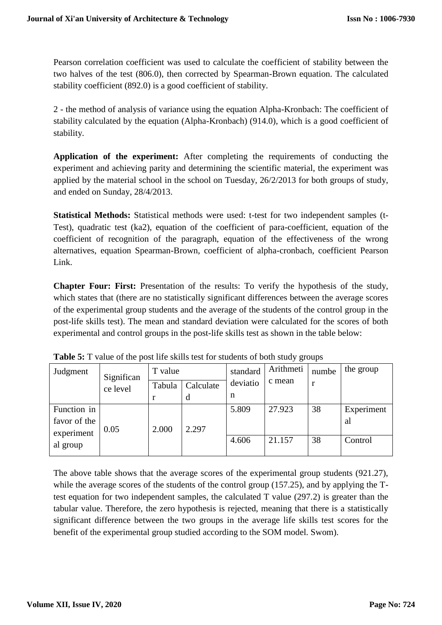Pearson correlation coefficient was used to calculate the coefficient of stability between the two halves of the test (806.0), then corrected by Spearman-Brown equation. The calculated stability coefficient (892.0) is a good coefficient of stability.

2 - the method of analysis of variance using the equation Alpha-Kronbach: The coefficient of stability calculated by the equation (Alpha-Kronbach) (914.0), which is a good coefficient of stability.

**Application of the experiment:** After completing the requirements of conducting the experiment and achieving parity and determining the scientific material, the experiment was applied by the material school in the school on Tuesday, 26/2/2013 for both groups of study, and ended on Sunday, 28/4/2013.

**Statistical Methods:** Statistical methods were used: t-test for two independent samples (t-Test), quadratic test (ka2), equation of the coefficient of para-coefficient, equation of the coefficient of recognition of the paragraph, equation of the effectiveness of the wrong alternatives, equation Spearman-Brown, coefficient of alpha-cronbach, coefficient Pearson Link.

**Chapter Four: First:** Presentation of the results: To verify the hypothesis of the study, which states that (there are no statistically significant differences between the average scores of the experimental group students and the average of the students of the control group in the post-life skills test). The mean and standard deviation were calculated for the scores of both experimental and control groups in the post-life skills test as shown in the table below:

| Judgment     | Significan | T value     |           | standard | Arithmeti | numbe | the group  |
|--------------|------------|-------------|-----------|----------|-----------|-------|------------|
|              | ce level   | Tabula      | Calculate | deviatio | c mean    | r     |            |
|              |            | $\mathbf r$ | d         | n        |           |       |            |
| Function in  |            |             |           | 5.809    | 27.923    | 38    | Experiment |
| favor of the |            |             |           |          |           |       | al         |
| experiment   | 0.05       | 2.000       | 2.297     |          |           |       |            |
| al group     |            |             |           | 4.606    | 21.157    | 38    | Control    |
|              |            |             |           |          |           |       |            |

**Table 5:** T value of the post life skills test for students of both study groups

The above table shows that the average scores of the experimental group students (921.27), while the average scores of the students of the control group (157.25), and by applying the Ttest equation for two independent samples, the calculated T value (297.2) is greater than the tabular value. Therefore, the zero hypothesis is rejected, meaning that there is a statistically significant difference between the two groups in the average life skills test scores for the benefit of the experimental group studied according to the SOM model. Swom).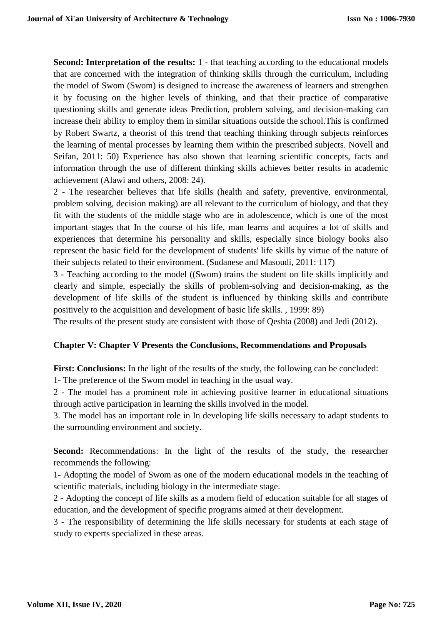**Second: Interpretation of the results:** 1 - that teaching according to the educational models that are concerned with the integration of thinking skills through the curriculum, including the model of Swom (Swom) is designed to increase the awareness of learners and strengthen it by focusing on the higher levels of thinking, and that their practice of comparative questioning skills and generate ideas Prediction, problem solving, and decision-making can increase their ability to employ them in similar situations outside the school.This is confirmed by Robert Swartz, a theorist of this trend that teaching thinking through subjects reinforces the learning of mental processes by learning them within the prescribed subjects. Novell and Seifan, 2011: 50) Experience has also shown that learning scientific concepts, facts and information through the use of different thinking skills achieves better results in academic achievement (Alawi and others, 2008: 24).

2 - The researcher believes that life skills (health and safety, preventive, environmental, problem solving, decision making) are all relevant to the curriculum of biology, and that they fit with the students of the middle stage who are in adolescence, which is one of the most important stages that In the course of his life, man learns and acquires a lot of skills and experiences that determine his personality and skills, especially since biology books also represent the basic field for the development of students' life skills by virtue of the nature of their subjects related to their environment. (Sudanese and Masoudi, 2011: 117)

3 - Teaching according to the model ((Swom) trains the student on life skills implicitly and clearly and simple, especially the skills of problem-solving and decision-making, as the development of life skills of the student is influenced by thinking skills and contribute positively to the acquisition and development of basic life skills. , 1999: 89)

The results of the present study are consistent with those of Qeshta (2008) and Jedi (2012).

#### **Chapter V: Chapter V Presents the Conclusions, Recommendations and Proposals**

**First: Conclusions:** In the light of the results of the study, the following can be concluded:

1- The preference of the Swom model in teaching in the usual way.

2 - The model has a prominent role in achieving positive learner in educational situations through active participation in learning the skills involved in the model.

3. The model has an important role in In developing life skills necessary to adapt students to the surrounding environment and society.

**Second:** Recommendations: In the light of the results of the study, the researcher recommends the following:

1- Adopting the model of Swom as one of the modern educational models in the teaching of scientific materials, including biology in the intermediate stage.

2 - Adopting the concept of life skills as a modern field of education suitable for all stages of education, and the development of specific programs aimed at their development.

3 - The responsibility of determining the life skills necessary for students at each stage of study to experts specialized in these areas.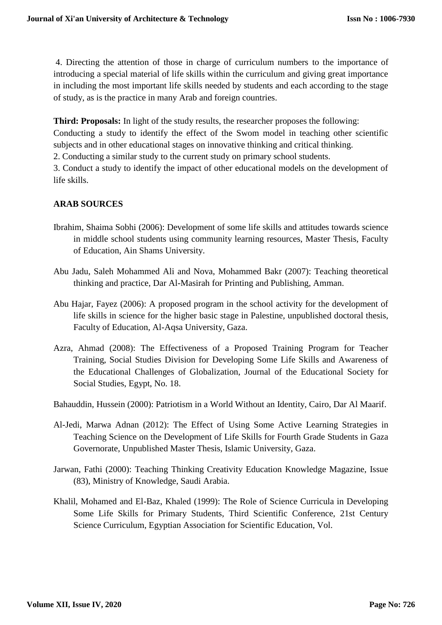4. Directing the attention of those in charge of curriculum numbers to the importance of introducing a special material of life skills within the curriculum and giving great importance in including the most important life skills needed by students and each according to the stage of study, as is the practice in many Arab and foreign countries.

**Third: Proposals:** In light of the study results, the researcher proposes the following:

Conducting a study to identify the effect of the Swom model in teaching other scientific subjects and in other educational stages on innovative thinking and critical thinking.

2. Conducting a similar study to the current study on primary school students.

3. Conduct a study to identify the impact of other educational models on the development of life skills.

# **ARAB SOURCES**

- Ibrahim, Shaima Sobhi (2006): Development of some life skills and attitudes towards science in middle school students using community learning resources, Master Thesis, Faculty of Education, Ain Shams University.
- Abu Jadu, Saleh Mohammed Ali and Nova, Mohammed Bakr (2007): Teaching theoretical thinking and practice, Dar Al-Masirah for Printing and Publishing, Amman.
- Abu Hajar, Fayez (2006): A proposed program in the school activity for the development of life skills in science for the higher basic stage in Palestine, unpublished doctoral thesis, Faculty of Education, Al-Aqsa University, Gaza.
- Azra, Ahmad (2008): The Effectiveness of a Proposed Training Program for Teacher Training, Social Studies Division for Developing Some Life Skills and Awareness of the Educational Challenges of Globalization, Journal of the Educational Society for Social Studies, Egypt, No. 18.

Bahauddin, Hussein (2000): Patriotism in a World Without an Identity, Cairo, Dar Al Maarif.

- Al-Jedi, Marwa Adnan (2012): The Effect of Using Some Active Learning Strategies in Teaching Science on the Development of Life Skills for Fourth Grade Students in Gaza Governorate, Unpublished Master Thesis, Islamic University, Gaza.
- Jarwan, Fathi (2000): Teaching Thinking Creativity Education Knowledge Magazine, Issue (83), Ministry of Knowledge, Saudi Arabia.
- Khalil, Mohamed and El-Baz, Khaled (1999): The Role of Science Curricula in Developing Some Life Skills for Primary Students, Third Scientific Conference, 21st Century Science Curriculum, Egyptian Association for Scientific Education, Vol.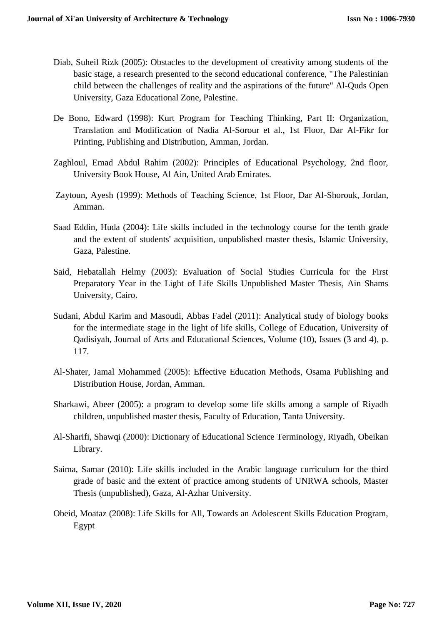- Diab, Suheil Rizk (2005): Obstacles to the development of creativity among students of the basic stage, a research presented to the second educational conference, "The Palestinian child between the challenges of reality and the aspirations of the future" Al-Quds Open University, Gaza Educational Zone, Palestine.
- De Bono, Edward (1998): Kurt Program for Teaching Thinking, Part II: Organization, Translation and Modification of Nadia Al-Sorour et al., 1st Floor, Dar Al-Fikr for Printing, Publishing and Distribution, Amman, Jordan.
- Zaghloul, Emad Abdul Rahim (2002): Principles of Educational Psychology, 2nd floor, University Book House, Al Ain, United Arab Emirates.
- Zaytoun, Ayesh (1999): Methods of Teaching Science, 1st Floor, Dar Al-Shorouk, Jordan, Amman.
- Saad Eddin, Huda (2004): Life skills included in the technology course for the tenth grade and the extent of students' acquisition, unpublished master thesis, Islamic University, Gaza, Palestine.
- Said, Hebatallah Helmy (2003): Evaluation of Social Studies Curricula for the First Preparatory Year in the Light of Life Skills Unpublished Master Thesis, Ain Shams University, Cairo.
- Sudani, Abdul Karim and Masoudi, Abbas Fadel (2011): Analytical study of biology books for the intermediate stage in the light of life skills, College of Education, University of Qadisiyah, Journal of Arts and Educational Sciences, Volume (10), Issues (3 and 4), p. 117.
- Al-Shater, Jamal Mohammed (2005): Effective Education Methods, Osama Publishing and Distribution House, Jordan, Amman.
- Sharkawi, Abeer (2005): a program to develop some life skills among a sample of Riyadh children, unpublished master thesis, Faculty of Education, Tanta University.
- Al-Sharifi, Shawqi (2000): Dictionary of Educational Science Terminology, Riyadh, Obeikan Library.
- Saima, Samar (2010): Life skills included in the Arabic language curriculum for the third grade of basic and the extent of practice among students of UNRWA schools, Master Thesis (unpublished), Gaza, Al-Azhar University.
- Obeid, Moataz (2008): Life Skills for All, Towards an Adolescent Skills Education Program, Egypt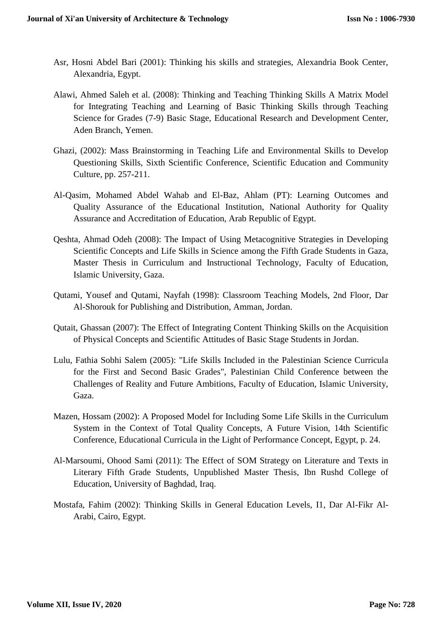- Asr, Hosni Abdel Bari (2001): Thinking his skills and strategies, Alexandria Book Center, Alexandria, Egypt.
- Alawi, Ahmed Saleh et al. (2008): Thinking and Teaching Thinking Skills A Matrix Model for Integrating Teaching and Learning of Basic Thinking Skills through Teaching Science for Grades (7-9) Basic Stage, Educational Research and Development Center, Aden Branch, Yemen.
- Ghazi, (2002): Mass Brainstorming in Teaching Life and Environmental Skills to Develop Questioning Skills, Sixth Scientific Conference, Scientific Education and Community Culture, pp. 257-211.
- Al-Qasim, Mohamed Abdel Wahab and El-Baz, Ahlam (PT): Learning Outcomes and Quality Assurance of the Educational Institution, National Authority for Quality Assurance and Accreditation of Education, Arab Republic of Egypt.
- Qeshta, Ahmad Odeh (2008): The Impact of Using Metacognitive Strategies in Developing Scientific Concepts and Life Skills in Science among the Fifth Grade Students in Gaza, Master Thesis in Curriculum and Instructional Technology, Faculty of Education, Islamic University, Gaza.
- Qutami, Yousef and Qutami, Nayfah (1998): Classroom Teaching Models, 2nd Floor, Dar Al-Shorouk for Publishing and Distribution, Amman, Jordan.
- Qutait, Ghassan (2007): The Effect of Integrating Content Thinking Skills on the Acquisition of Physical Concepts and Scientific Attitudes of Basic Stage Students in Jordan.
- Lulu, Fathia Sobhi Salem (2005): "Life Skills Included in the Palestinian Science Curricula for the First and Second Basic Grades", Palestinian Child Conference between the Challenges of Reality and Future Ambitions, Faculty of Education, Islamic University, Gaza.
- Mazen, Hossam (2002): A Proposed Model for Including Some Life Skills in the Curriculum System in the Context of Total Quality Concepts, A Future Vision, 14th Scientific Conference, Educational Curricula in the Light of Performance Concept, Egypt, p. 24.
- Al-Marsoumi, Ohood Sami (2011): The Effect of SOM Strategy on Literature and Texts in Literary Fifth Grade Students, Unpublished Master Thesis, Ibn Rushd College of Education, University of Baghdad, Iraq.
- Mostafa, Fahim (2002): Thinking Skills in General Education Levels, I1, Dar Al-Fikr Al-Arabi, Cairo, Egypt.